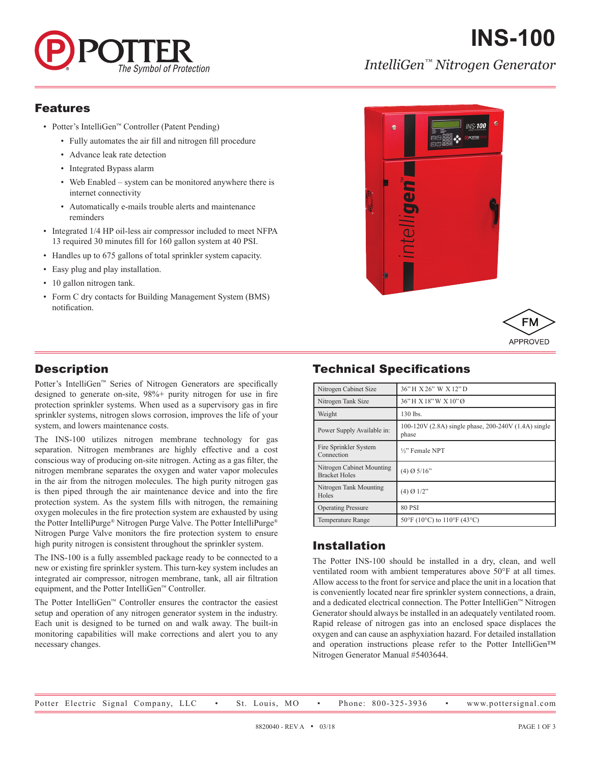

# **INS-100** *IntelliGen™ Nitrogen Generator*

#### Features

- Potter's IntelliGen™ Controller (Patent Pending)
	- Fully automates the air fill and nitrogen fill procedure
	- Advance leak rate detection
	- Integrated Bypass alarm
	- Web Enabled system can be monitored anywhere there is internet connectivity
	- Automatically e-mails trouble alerts and maintenance reminders
- Integrated 1/4 HP oil-less air compressor included to meet NFPA 13 required 30 minutes fill for 160 gallon system at 40 PSI.
- Handles up to 675 gallons of total sprinkler system capacity.
- Easy plug and play installation.
- 10 gallon nitrogen tank.
- Form C dry contacts for Building Management System (BMS) notification.





## **Description**

Potter's IntelliGen™ Series of Nitrogen Generators are specifically designed to generate on-site, 98%+ purity nitrogen for use in fire protection sprinkler systems. When used as a supervisory gas in fire sprinkler systems, nitrogen slows corrosion, improves the life of your system, and lowers maintenance costs.

The INS-100 utilizes nitrogen membrane technology for gas separation. Nitrogen membranes are highly effective and a cost conscious way of producing on-site nitrogen. Acting as a gas filter, the nitrogen membrane separates the oxygen and water vapor molecules in the air from the nitrogen molecules. The high purity nitrogen gas is then piped through the air maintenance device and into the fire protection system. As the system fills with nitrogen, the remaining oxygen molecules in the fire protection system are exhausted by using the Potter IntelliPurge® Nitrogen Purge Valve. The Potter IntelliPurge® Nitrogen Purge Valve monitors the fire protection system to ensure high purity nitrogen is consistent throughout the sprinkler system.

The INS-100 is a fully assembled package ready to be connected to a new or existing fire sprinkler system. This turn-key system includes an integrated air compressor, nitrogen membrane, tank, all air filtration equipment, and the Potter IntelliGen™ Controller.

The Potter IntelliGen™ Controller ensures the contractor the easiest setup and operation of any nitrogen generator system in the industry. Each unit is designed to be turned on and walk away. The built-in monitoring capabilities will make corrections and alert you to any necessary changes.

# Technical Specifications

| Nitrogen Cabinet Size                             | 36" H X 26" W X 12" D                                         |  |
|---------------------------------------------------|---------------------------------------------------------------|--|
| Nitrogen Tank Size                                | 36"H X 18"W X 10"Ø                                            |  |
| Weight                                            | 130 lbs.                                                      |  |
| Power Supply Available in:                        | 100-120V (2.8A) single phase, 200-240V (1.4A) single<br>phase |  |
| Fire Sprinkler System<br>Connection               | 1/2" Female NPT                                               |  |
| Nitrogen Cabinet Mounting<br><b>Bracket Holes</b> | $(4)$ Ø 5/16"                                                 |  |
| Nitrogen Tank Mounting<br>Holes                   | $(4)$ Ø 1/2"                                                  |  |
| <b>Operating Pressure</b>                         | <b>80 PSI</b>                                                 |  |
| <b>Temperature Range</b>                          | $50^{\circ}$ F (10°C) to 110°F (43°C)                         |  |

## Installation

The Potter INS-100 should be installed in a dry, clean, and well ventilated room with ambient temperatures above 50°F at all times. Allow access to the front for service and place the unit in a location that is conveniently located near fire sprinkler system connections, a drain, and a dedicated electrical connection. The Potter IntelliGen™ Nitrogen Generator should always be installed in an adequately ventilated room. Rapid release of nitrogen gas into an enclosed space displaces the oxygen and can cause an asphyxiation hazard. For detailed installation and operation instructions please refer to the Potter IntelliGen™ Nitrogen Generator Manual #5403644.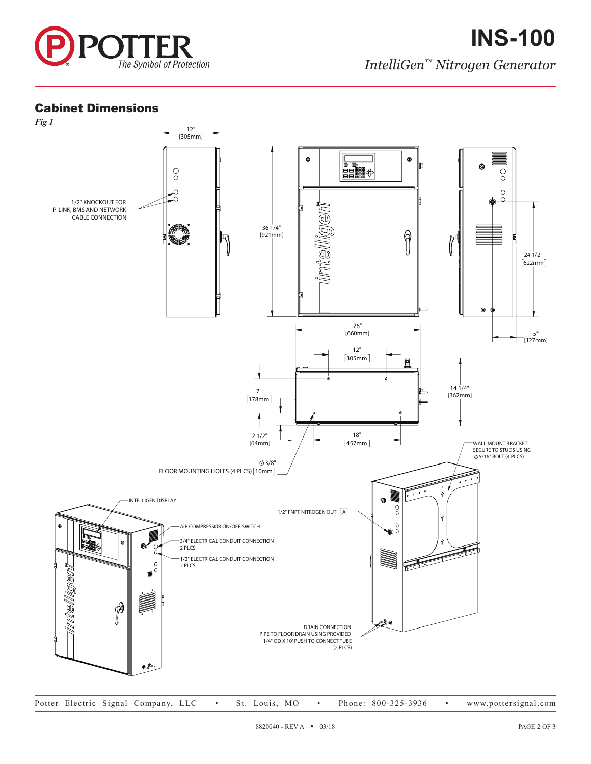

## Cabinet Dimensions